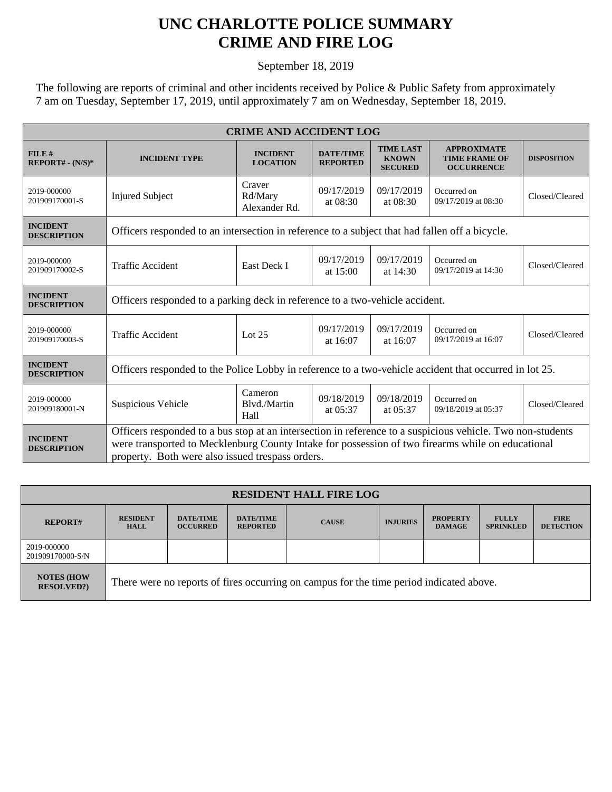## **UNC CHARLOTTE POLICE SUMMARY CRIME AND FIRE LOG**

September 18, 2019

The following are reports of criminal and other incidents received by Police & Public Safety from approximately 7 am on Tuesday, September 17, 2019, until approximately 7 am on Wednesday, September 18, 2019.

| <b>CRIME AND ACCIDENT LOG</b>         |                                                                                                                                                                                                                                                                     |                                    |                                     |                                                    |                                                                 |                    |  |
|---------------------------------------|---------------------------------------------------------------------------------------------------------------------------------------------------------------------------------------------------------------------------------------------------------------------|------------------------------------|-------------------------------------|----------------------------------------------------|-----------------------------------------------------------------|--------------------|--|
| $FILE$ #<br>$REPORT# - (N/S)*$        | <b>INCIDENT TYPE</b>                                                                                                                                                                                                                                                | <b>INCIDENT</b><br><b>LOCATION</b> | <b>DATE/TIME</b><br><b>REPORTED</b> | <b>TIME LAST</b><br><b>KNOWN</b><br><b>SECURED</b> | <b>APPROXIMATE</b><br><b>TIME FRAME OF</b><br><b>OCCURRENCE</b> | <b>DISPOSITION</b> |  |
| 2019-000000<br>201909170001-S         | <b>Injured Subject</b>                                                                                                                                                                                                                                              | Craver<br>Rd/Mary<br>Alexander Rd. | 09/17/2019<br>at $08:30$            | 09/17/2019<br>at 08:30                             | Occurred on<br>09/17/2019 at 08:30                              | Closed/Cleared     |  |
| <b>INCIDENT</b><br><b>DESCRIPTION</b> | Officers responded to an intersection in reference to a subject that had fallen off a bicycle.                                                                                                                                                                      |                                    |                                     |                                                    |                                                                 |                    |  |
| 2019-000000<br>201909170002-S         | <b>Traffic Accident</b>                                                                                                                                                                                                                                             | East Deck I                        | 09/17/2019<br>at $15:00$            | 09/17/2019<br>at 14:30                             | Occurred on<br>09/17/2019 at 14:30                              | Closed/Cleared     |  |
| <b>INCIDENT</b><br><b>DESCRIPTION</b> | Officers responded to a parking deck in reference to a two-vehicle accident.                                                                                                                                                                                        |                                    |                                     |                                                    |                                                                 |                    |  |
| 2019-000000<br>201909170003-S         | <b>Traffic Accident</b>                                                                                                                                                                                                                                             | Lot $25$                           | 09/17/2019<br>at 16:07              | 09/17/2019<br>at 16:07                             | Occurred on<br>09/17/2019 at 16:07                              | Closed/Cleared     |  |
| <b>INCIDENT</b><br><b>DESCRIPTION</b> | Officers responded to the Police Lobby in reference to a two-vehicle accident that occurred in lot 25.                                                                                                                                                              |                                    |                                     |                                                    |                                                                 |                    |  |
| 2019-000000<br>201909180001-N         | Suspicious Vehicle                                                                                                                                                                                                                                                  | Cameron<br>Blvd./Martin<br>Hall    | 09/18/2019<br>at 05:37              | 09/18/2019<br>at 05:37                             | Occurred on<br>09/18/2019 at 05:37                              | Closed/Cleared     |  |
| <b>INCIDENT</b><br><b>DESCRIPTION</b> | Officers responded to a bus stop at an intersection in reference to a suspicious vehicle. Two non-students<br>were transported to Mecklenburg County Intake for possession of two firearms while on educational<br>property. Both were also issued trespass orders. |                                    |                                     |                                                    |                                                                 |                    |  |

| <b>RESIDENT HALL FIRE LOG</b>          |                                                                                         |                                     |                                     |              |                 |                                  |                                  |                                 |
|----------------------------------------|-----------------------------------------------------------------------------------------|-------------------------------------|-------------------------------------|--------------|-----------------|----------------------------------|----------------------------------|---------------------------------|
| <b>REPORT#</b>                         | <b>RESIDENT</b><br><b>HALL</b>                                                          | <b>DATE/TIME</b><br><b>OCCURRED</b> | <b>DATE/TIME</b><br><b>REPORTED</b> | <b>CAUSE</b> | <b>INJURIES</b> | <b>PROPERTY</b><br><b>DAMAGE</b> | <b>FULLY</b><br><b>SPRINKLED</b> | <b>FIRE</b><br><b>DETECTION</b> |
| 2019-000000<br>201909170000-S/N        |                                                                                         |                                     |                                     |              |                 |                                  |                                  |                                 |
| <b>NOTES (HOW)</b><br><b>RESOLVED?</b> | There were no reports of fires occurring on campus for the time period indicated above. |                                     |                                     |              |                 |                                  |                                  |                                 |